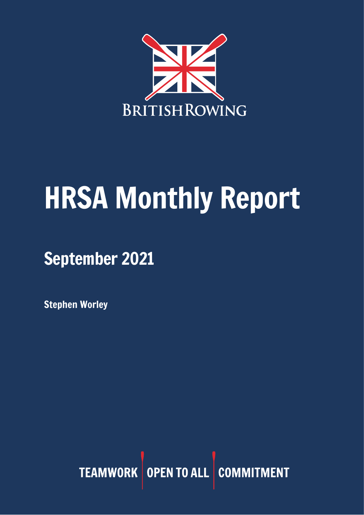

# HRSA Monthly Report

September 2021

Stephen Worley

TEAMWORK OPEN TO ALL COMMITMENT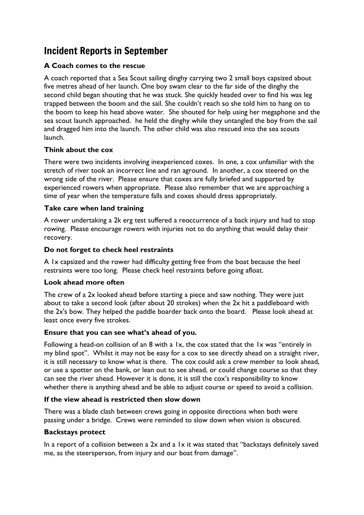## Incident Reports in September

#### **A Coach comes to the rescue**

A coach reported that a Sea Scout sailing dinghy carrying two 2 small boys capsized about five metres ahead of her launch. One boy swam clear to the far side of the dinghy the second child began shouting that he was stuck. She quickly headed over to find his was leg trapped between the boom and the sail. She couldn't reach so she told him to hang on to the boom to keep his head above water. She shouted for help using her megaphone and the sea scout launch approached. he held the dinghy while they untangled the boy from the sail and dragged him into the launch. The other child was also rescued into the sea scouts launch.

#### **Think about the cox**

There were two incidents involving inexperienced coxes. In one, a cox unfamiliar with the stretch of river took an incorrect line and ran aground. In another, a cox steered on the wrong side of the river. Please ensure that coxes are fully briefed and supported by experienced rowers when appropriate. Please also remember that we are approaching a time of year when the temperature falls and coxes should dress appropriately.

#### **Take care when land training**

A rower undertaking a 2k erg test suffered a reoccurrence of a back injury and had to stop rowing. Please encourage rowers with injuries not to do anything that would delay their recovery.

#### **Do not forget to check heel restraints**

A 1x capsized and the rower had difficulty getting free from the boat because the heel restraints were too long. Please check heel restraints before going afloat.

#### **Look ahead more often**

The crew of a 2x looked ahead before starting a piece and saw nothing. They were just about to take a second look (after about 20 strokes) when the 2x hit a paddleboard with the 2x's bow. They helped the paddle boarder back onto the board. Please look ahead at least once every five strokes.

#### **Ensure that you can see what's ahead of you.**

Following a head-on collision of an 8 with a 1x, the cox stated that the 1x was "entirely in my blind spot". Whilst it may not be easy for a cox to see directly ahead on a straight river, it is still necessary to know what is there. The cox could ask a crew member to look ahead, or use a spotter on the bank, or lean out to see ahead, or could change course so that they can see the river ahead. However it is done, it is still the cox's responsibility to know whether there is anything ahead and be able to adjust course or speed to avoid a collision.

## **If the view ahead is restricted then slow down**

There was a blade clash between crews going in opposite directions when both were passing under a bridge. Crews were reminded to slow down when vision is obscured.

#### **Backstays protect**

In a report of a collision between a 2x and a 1x it was stated that "backstays definitely saved me, as the steersperson, from injury and our boat from damage".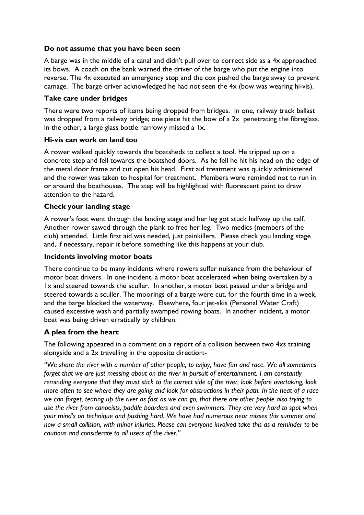#### **Do not assume that you have been seen**

A barge was in the middle of a canal and didn't pull over to correct side as a 4x approached its bows. A coach on the bank warned the driver of the barge who put the engine into reverse. The 4x executed an emergency stop and the cox pushed the barge away to prevent damage. The barge driver acknowledged he had not seen the 4x (bow was wearing hi-vis).

#### **Take care under bridges**

There were two reports of items being dropped from bridges. In one, railway track ballast was dropped from a railway bridge; one piece hit the bow of a 2x penetrating the fibreglass. In the other, a large glass bottle narrowly missed a 1x.

#### **Hi-vis can work on land too**

A rower walked quickly towards the boatsheds to collect a tool. He tripped up on a concrete step and fell towards the boatshed doors. As he fell he hit his head on the edge of the metal door frame and cut open his head. First aid treatment was quickly administered and the rower was taken to hospital for treatment. Members were reminded not to run in or around the boathouses. The step will be highlighted with fluorescent paint to draw attention to the hazard.

#### **Check your landing stage**

A rower's foot went through the landing stage and her leg got stuck halfway up the calf. Another rower sawed through the plank to free her leg. Two medics (members of the club) attended. Little first aid was needed, just painkillers. Please check you landing stage and, if necessary, repair it before something like this happens at your club.

#### **Incidents involving motor boats**

There continue to be many incidents where rowers suffer nuisance from the behaviour of motor boat drivers. In one incident, a motor boat accelerated when being overtaken by a 1x and steered towards the sculler. In another, a motor boat passed under a bridge and steered towards a sculler. The moorings of a barge were cut, for the fourth time in a week, and the barge blocked the waterway. Elsewhere, four jet-skis (Personal Water Craft) caused excessive wash and partially swamped rowing boats. In another incident, a motor boat was being driven erratically by children.

#### **A plea from the heart**

The following appeared in a comment on a report of a collision between two 4xs training alongside and a 2x travelling in the opposite direction:-

"We share the river with a number of other beoble, to enjoy, have fun and race. We all sometimes *forget that we are just messing about on the river in pursuit of entertainment. I am constantly reminding everyone that they must stick to the correct side of the river, look before overtaking, look* more often to see where they are going and look for obstructions in their path. In the heat of a race we can forget, tearing up the river as fast as we can go, that there are other people also trying to *use the river from canoeists, paddle boarders and even swimmers. They are very hard to spot when your mind's on technique and pushing hard. We have had numerous near misses this summer and* now a small collision, with minor injuries. Please can everyone involved take this as a reminder to be *cautious and considerate to all users of the river."*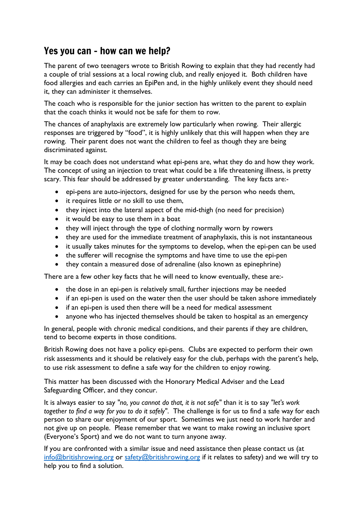## Yes you can – how can we help?

The parent of two teenagers wrote to British Rowing to explain that they had recently had a couple of trial sessions at a local rowing club, and really enjoyed it. Both children have food allergies and each carries an EpiPen and, in the highly unlikely event they should need it, they can administer it themselves.

The coach who is responsible for the junior section has written to the parent to explain that the coach thinks it would not be safe for them to row.

The chances of anaphylaxis are extremely low particularly when rowing. Their allergic responses are triggered by "food", it is highly unlikely that this will happen when they are rowing. Their parent does not want the children to feel as though they are being discriminated against.

It may be coach does not understand what epi-pens are, what they do and how they work. The concept of using an injection to treat what could be a life threatening illness, is pretty scary. This fear should be addressed by greater understanding. The key facts are:-

- epi-pens are auto-injectors, designed for use by the person who needs them,
- it requires little or no skill to use them,
- they inject into the lateral aspect of the mid-thigh (no need for precision)
- it would be easy to use them in a boat
- they will inject through the type of clothing normally worn by rowers
- they are used for the immediate treatment of anaphylaxis, this is not instantaneous
- it usually takes minutes for the symptoms to develop, when the epi-pen can be used
- the sufferer will recognise the symptoms and have time to use the epi-pen
- they contain a measured dose of adrenaline (also known as epinephrine)

There are a few other key facts that he will need to know eventually, these are:-

- the dose in an epi-pen is relatively small, further injections may be needed
- if an epi-pen is used on the water then the user should be taken ashore immediately
- if an epi-pen is used then there will be a need for medical assessment
- anyone who has injected themselves should be taken to hospital as an emergency

In general, people with chronic medical conditions, and their parents if they are children, tend to become experts in those conditions.

British Rowing does not have a policy epi-pens. Clubs are expected to perform their own risk assessments and it should be relatively easy for the club, perhaps with the parent's help, to use risk assessment to define a safe way for the children to enjoy rowing.

This matter has been discussed with the Honorary Medical Adviser and the Lead Safeguarding Officer, and they concur.

It is always easier to say *"no, you cannot do that, it is not safe"* than it is to say *"let's work together to find a way for you to do it safely"*. The challenge is for us to find a safe way for each person to share our enjoyment of our sport. Sometimes we just need to work harder and not give up on people. Please remember that we want to make rowing an inclusive sport (Everyone's Sport) and we do not want to turn anyone away.

If you are confronted with a similar issue and need assistance then please contact us (at [info@britishrowing.org](mailto:info@britishrowing.org) or [safety@britishrowing.org](mailto:safety@britishrowing.org) if it relates to safety) and we will try to help you to find a solution.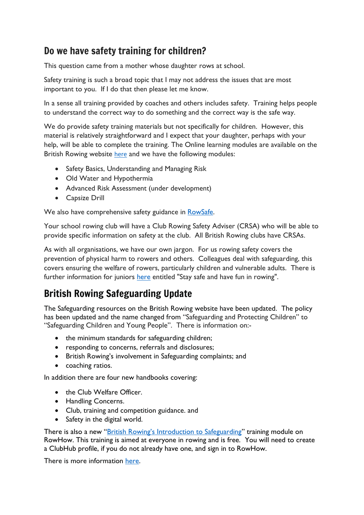## Do we have safety training for children?

This question came from a mother whose daughter rows at school.

Safety training is such a broad topic that I may not address the issues that are most important to you. If I do that then please let me know.

In a sense all training provided by coaches and others includes safety. Training helps people to understand the correct way to do something and the correct way is the safe way.

We do provide safety training materials but not specifically for children. However, this material is relatively straightforward and I expect that your daughter, perhaps with your help, will be able to complete the training. The Online learning modules are available on the British Rowing website [here](https://www.rowhow.org/mod/page/view.php?id=6650) and we have the following modules:

- Safety Basics, Understanding and Managing Risk
- Old Water and Hypothermia
- Advanced Risk Assessment (under development)
- Capsize Drill

We also have comprehensive safety guidance in [RowSafe.](https://www.britishrowing.org/about-us/policies-guidance/rowsafe/)

Your school rowing club will have a Club Rowing Safety Adviser (CRSA) who will be able to provide specific information on safety at the club. All British Rowing clubs have CRSAs.

As with all organisations, we have our own jargon. For us rowing safety covers the prevention of physical harm to rowers and others. Colleagues deal with safeguarding, this covers ensuring the welfare of rowers, particularly children and vulnerable adults. There is further information for juniors [here](https://www.britishrowing.org/knowledge/rower-development/juniors/) entitled "Stay safe and have fun in rowing".

## British Rowing Safeguarding Update

The Safeguarding resources on the British Rowing website have been updated. The policy has been updated and the name changed from "Safeguarding and Protecting Children" to "Safeguarding Children and Young People". There is information on:-

- the minimum standards for safeguarding children;
- responding to concerns, referrals and disclosures;
- British Rowing's involvement in Safeguarding complaints; and
- coaching ratios.

In addition there are four new handbooks covering:

- the Club Welfare Officer.
- Handling Concerns.
- Club, training and competition guidance. and
- Safety in the digital world.

There is also a new ["British Rowing's Introduction to Safeguarding"](https://www.rowhow.org/) training module on RowHow. This training is aimed at everyone in rowing and is free. You will need to create a ClubHub profile, if you do not already have one, and sign in to RowHow.

There is more information [here.](https://www.britishrowing.org/2021/09/british-rowing-safeguarding-update/)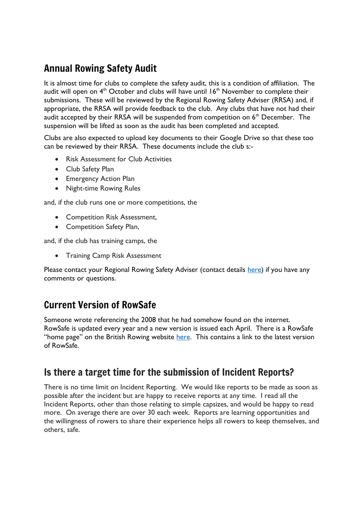## Annual Rowing Safety Audit

It is almost time for clubs to complete the safety audit, this is a condition of affiliation. The audit will open on  $4<sup>th</sup>$  October and clubs will have until  $16<sup>th</sup>$  November to complete their submissions. These will be reviewed by the Regional Rowing Safety Adviser (RRSA) and, if appropriate, the RRSA will provide feedback to the club. Any clubs that have not had their audit accepted by their RRSA will be suspended from competition on  $6<sup>th</sup>$  December. The suspension will be lifted as soon as the audit has been completed and accepted.

Clubs are also expected to upload key documents to their Google Drive so that these too can be reviewed by their RRSA. These documents include the club s:-

- Risk Assessment for Club Activities
- Club Safety Plan
- Emergency Action Plan
- Night-time Rowing Rules

and, if the club runs one or more competitions, the

- Competition Risk Assessment,
- Competition Safety Plan,

and, if the club has training camps, the

• Training Camp Risk Assessment

Please contact your Regional Rowing Safety Adviser (contact details [here\)](https://www.britishrowing.org/knowledge/safety/rowing-safety-contacts/) if you have any comments or questions.

## Current Version of RowSafe

Someone wrote referencing the 2008 that he had somehow found on the internet. RowSafe is updated every year and a new version is issued each April. There is a RowSafe "home page" on the British Rowing website [here.](https://www.britishrowing.org/about-us/policies-guidance/rowsafe/) This contains a link to the latest version of RowSafe.

## Is there a target time for the submission of Incident Reports?

There is no time limit on Incident Reporting. We would like reports to be made as soon as possible after the incident but are happy to receive reports at any time. I read all the Incident Reports, other than those relating to simple capsizes, and would be happy to read more. On average there are over 30 each week. Reports are learning opportunities and the willingness of rowers to share their experience helps all rowers to keep themselves, and others, safe.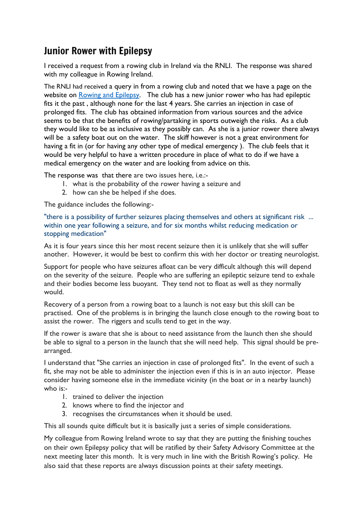## Junior Rower with Epilepsy

I received a request from a rowing club in Ireland via the RNLI. The response was shared with my colleague in Rowing Ireland.

The RNLI had received a query in from a rowing club and noted that we have a page on the website on Rowing and [Epilepsy.](https://www.britishrowing.org/knowledge/safety/health-and-fitness/rowing-and-epilepsy/) The club has a new junior rower who has had epileptic fits it the past , although none for the last 4 years. She carries an injection in case of prolonged fits. The club has obtained information from various sources and the advice seems to be that the benefits of rowing/partaking in sports outweigh the risks. As a club they would like to be as inclusive as they possibly can. As she is a junior rower there always will be a safety boat out on the water. The skiff however is not a great environment for having a fit in (or for having any other type of medical emergency ). The club feels that it would be very helpful to have a written procedure in place of what to do if we have a medical emergency on the water and are looking from advice on this.

The response was that there are two issues here, i.e.:-

- 1. what is the probability of the rower having a seizure and
- 2. how can she be helped if she does.

The guidance includes the following:-

"there is a possibility of further seizures placing themselves and others at significant risk ... within one year following a seizure, and for six months whilst reducing medication or stopping medication"

As it is four years since this her most recent seizure then it is unlikely that she will suffer another. However, it would be best to confirm this with her doctor or treating neurologist.

Support for people who have seizures afloat can be very difficult although this will depend on the severity of the seizure. People who are suffering an epileptic seizure tend to exhale and their bodies become less buoyant. They tend not to float as well as they normally would.

Recovery of a person from a rowing boat to a launch is not easy but this skill can be practised. One of the problems is in bringing the launch close enough to the rowing boat to assist the rower. The riggers and sculls tend to get in the way.

If the rower is aware that she is about to need assistance from the launch then she should be able to signal to a person in the launch that she will need help. This signal should be prearranged.

I understand that "She carries an injection in case of prolonged fits". In the event of such a fit, she may not be able to administer the injection even if this is in an auto injector. Please consider having someone else in the immediate vicinity (in the boat or in a nearby launch) who is:-

- 1. trained to deliver the injection
- 2. knows where to find the injector and
- 3. recognises the circumstances when it should be used.

This all sounds quite difficult but it is basically just a series of simple considerations.

My colleague from Rowing Ireland wrote to say that they are putting the finishing touches on their own Epilepsy policy that will be ratified by their Safety Advisory Committee at the next meeting later this month. It is very much in line with the British Rowing's policy. He also said that these reports are always discussion points at their safety meetings.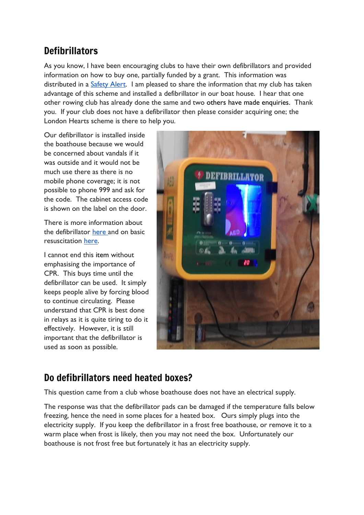## **Defibrillators**

As you know, I have been encouraging clubs to have their own defibrillators and provided information on how to buy one, partially funded by a grant. This information was distributed in a [Safety](https://www.britishrowing.org/wp-content/uploads/2021/07/Safety-Alert-Get-help-to-buy-your-own-AED-July-2021.pdf) Alert. I am pleased to share the information that my club has taken advantage of this scheme and installed a defibrillator in our boat house. I hear that one other rowing club has already done the same and two others have made enquiries. Thank you. If your club does not have a defibrillator then please consider acquiring one; the London Hearts scheme is there to help you.

Our defibrillator is installed inside the boathouse because we would be concerned about vandals if it was outside and it would not be much use there as there is no mobile phone coverage; it is not possible to phone 999 and ask for the code. The cabinet access code is shown on the label on the door.

There is more information about the defibrillator [here](https://www.youtube.com/watch?v=s5ZPLXdXPBc) and on basic resuscitation [here.](https://www.resus.org.uk/public-resource/how-we-save-lives/lifesaver-learning/lifesaver)

I cannot end this item without emphasising the importance of CPR. This buys time until the defibrillator can be used. It simply keeps people alive by forcing blood to continue circulating. Please understand that CPR is best done in relays as it is quite tiring to do it effectively. However, it is still important that the defibrillator is used as soon as possible.



## Do defibrillators need heated boxes?

This question came from a club whose boathouse does not have an electrical supply.

The response was that the defibrillator pads can be damaged if the temperature falls below freezing, hence the need in some places for a heated box. Ours simply plugs into the electricity supply. If you keep the defibrillator in a frost free boathouse, or remove it to a warm place when frost is likely, then you may not need the box. Unfortunately our boathouse is not frost free but fortunately it has an electricity supply.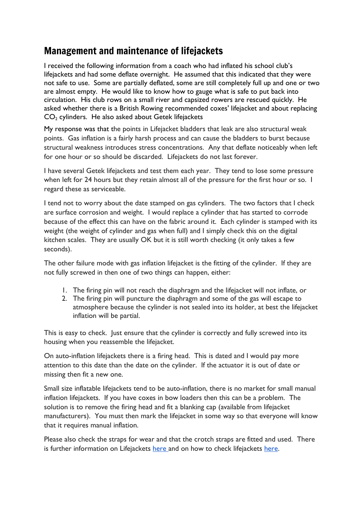## Management and maintenance of lifejackets

I received the following information from a coach who had inflated his school club's lifejackets and had some deflate overnight. He assumed that this indicated that they were not safe to use. Some are partially deflated, some are still completely full up and one or two are almost empty. He would like to know how to gauge what is safe to put back into circulation. His club rows on a small river and capsized rowers are rescued quickly. He asked whether there is a British Rowing recommended coxes' lifejacket and about replacing  $CO<sub>2</sub>$  cylinders. He also asked about Getek lifejackets

My response was that the points in Lifejacket bladders that leak are also structural weak points. Gas inflation is a fairly harsh process and can cause the bladders to burst because structural weakness introduces stress concentrations. Any that deflate noticeably when left for one hour or so should be discarded. Lifejackets do not last forever.

I have several Getek lifejackets and test them each year. They tend to lose some pressure when left for 24 hours but they retain almost all of the pressure for the first hour or so. I regard these as serviceable.

I tend not to worry about the date stamped on gas cylinders. The two factors that I check are surface corrosion and weight. I would replace a cylinder that has started to corrode because of the effect this can have on the fabric around it. Each cylinder is stamped with its weight (the weight of cylinder and gas when full) and I simply check this on the digital kitchen scales. They are usually OK but it is still worth checking (it only takes a few seconds).

The other failure mode with gas inflation lifejacket is the fitting of the cylinder. If they are not fully screwed in then one of two things can happen, either:

- 1. The firing pin will not reach the diaphragm and the lifejacket will not inflate, or
- 2. The firing pin will puncture the diaphragm and some of the gas will escape to atmosphere because the cylinder is not sealed into its holder, at best the lifejacket inflation will be partial.

This is easy to check. Just ensure that the cylinder is correctly and fully screwed into its housing when you reassemble the lifejacket.

On auto-inflation lifejackets there is a firing head. This is dated and I would pay more attention to this date than the date on the cylinder. If the actuator it is out of date or missing then fit a new one.

Small size inflatable lifejackets tend to be auto-inflation, there is no market for small manual inflation lifejackets. If you have coxes in bow loaders then this can be a problem. The solution is to remove the firing head and fit a blanking cap (available from lifejacket manufacturers). You must then mark the lifejacket in some way so that everyone will know that it requires manual inflation.

Please also check the straps for wear and that the crotch straps are fitted and used. There is further information on Lifejackets [here](https://www.britishrowing.org/wp-content/uploads/2015/09/Safety-Alert-February-2015-Lifejackets.pdf) and on how to check lifejackets [here.](https://www.britishrowing.org/wp-content/uploads/2015/09/Safety-Alert-check-your-lifejacket.pdf)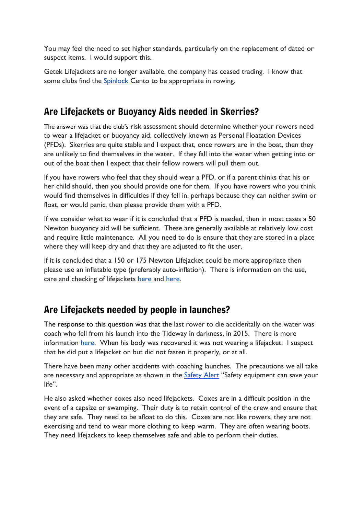You may feel the need to set higher standards, particularly on the replacement of dated or suspect items. I would support this.

Getek Lifejackets are no longer available, the company has ceased trading. I know that some clubs find the **[Spinlock](https://www.spinlock.co.uk/en/searches?utf8=%E2%9C%93&q=cento)** Cento to be appropriate in rowing.

## Are Lifejackets or Buoyancy Aids needed in Skerries?

The answer was that the club's risk assessment should determine whether your rowers need to wear a lifejacket or buoyancy aid, collectively known as Personal Floatation Devices (PFDs). Skerries are quite stable and I expect that, once rowers are in the boat, then they are unlikely to find themselves in the water. If they fall into the water when getting into or out of the boat then I expect that their fellow rowers will pull them out.

If you have rowers who feel that they should wear a PFD, or if a parent thinks that his or her child should, then you should provide one for them. If you have rowers who you think would find themselves in difficulties if they fell in, perhaps because they can neither swim or float, or would panic, then please provide them with a PFD.

If we consider what to wear if it is concluded that a PFD is needed, then in most cases a 50 Newton buoyancy aid will be sufficient. These are generally available at relatively low cost and require little maintenance. All you need to do is ensure that they are stored in a place where they will keep dry and that they are adjusted to fit the user.

If it is concluded that a 150 or 175 Newton Lifejacket could be more appropriate then please use an inflatable type (preferably auto-inflation). There is information on the use, care and checking of lifejackets [here](https://www.britishrowing.org/wp-content/uploads/2015/09/Safety-Alert-check-your-lifejacket.pdf) and [here.](https://www.britishrowing.org/wp-content/uploads/2015/09/Safety-Alert-February-2015-Lifejackets.pdf)

## Are Lifejackets needed by people in launches?

The response to this question was that the last rower to die accidentally on the water was coach who fell from his launch into the Tideway in darkness, in 2015. There is more information [here.](https://www.bbc.co.uk/news/uk-england-london-31797143) When his body was recovered it was not wearing a lifejacket. I suspect that he did put a lifejacket on but did not fasten it properly, or at all.

There have been many other accidents with coaching launches. The precautions we all take are necessary and appropriate as shown in the [Safety](https://www.britishrowing.org/wp-content/uploads/2015/09/Safety-Alert-Safety-Equipment-can-save-your-life-1.pdf) Alert "Safety equipment can save your life".

He also asked whether coxes also need lifejackets. Coxes are in a difficult position in the event of a capsize or swamping. Their duty is to retain control of the crew and ensure that they are safe. They need to be afloat to do this. Coxes are not like rowers, they are not exercising and tend to wear more clothing to keep warm. They are often wearing boots. They need lifejackets to keep themselves safe and able to perform their duties.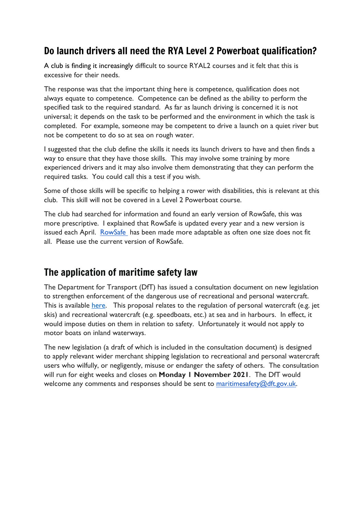## Do launch drivers all need the RYA Level 2 Powerboat qualification?

A club is finding it increasingly difficult to source RYAL2 courses and it felt that this is excessive for their needs.

The response was that the important thing here is competence, qualification does not always equate to competence. Competence can be defined as the ability to perform the specified task to the required standard. As far as launch driving is concerned it is not universal; it depends on the task to be performed and the environment in which the task is completed. For example, someone may be competent to drive a launch on a quiet river but not be competent to do so at sea on rough water.

I suggested that the club define the skills it needs its launch drivers to have and then finds a way to ensure that they have those skills. This may involve some training by more experienced drivers and it may also involve them demonstrating that they can perform the required tasks. You could call this a test if you wish.

Some of those skills will be specific to helping a rower with disabilities, this is relevant at this club. This skill will not be covered in a Level 2 Powerboat course.

The club had searched for information and found an early version of RowSafe, this was more prescriptive. I explained that RowSafe is updated every year and a new version is issued each April. [RowSafe](https://www.britishrowing.org/about-us/policies-guidance/rowsafe/) has been made more adaptable as often one size does not fit all. Please use the current version of RowSafe.

## The application of maritime safety law

The Department for Transport (DfT) has issued a consultation document on new legislation to strengthen enforcement of the dangerous use of recreational and personal watercraft. This is available [here.](http://www.gov.uk/government/consultations/strengthening-enforcement-of-the-dangerous-use-of-recreational-and-personal-watercraft) This proposal relates to the regulation of personal watercraft (e.g. jet skis) and recreational watercraft (e.g. speedboats, etc.) at sea and in harbours. In effect, it would impose duties on them in relation to safety. Unfortunately it would not apply to motor boats on inland waterways.

The new legislation (a draft of which is included in the consultation document) is designed to apply relevant wider merchant shipping legislation to recreational and personal watercraft users who wilfully, or negligently, misuse or endanger the safety of others. The consultation will run for eight weeks and closes on **Monday 1 November 2021**. The DfT would welcome any comments and responses should be sent to [maritimesafety@dft.gov.uk.](mailto:maritimesafety@dft.gov.uk)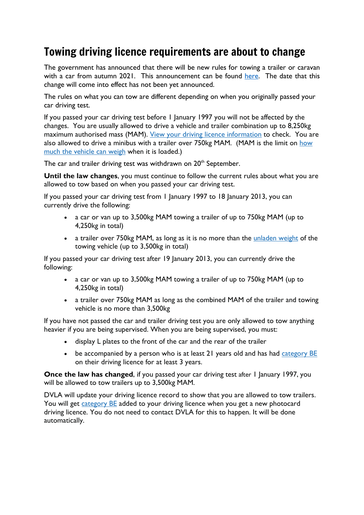## Towing driving licence requirements are about to change

The government has announced that there will be new rules for towing a trailer or caravan with a car from autumn 2021. This announcement can be found [here.](https://www.gov.uk/guidance/new-rules-for-towing-a-trailer-or-caravan-with-a-car-from-autumn-2021) The date that this change will come into effect has not been yet announced.

The rules on what you can tow are different depending on when you originally passed your car driving test.

If you passed your car driving test before 1 January 1997 you will not be affected by the changes. You are usually allowed to drive a vehicle and trailer combination up to 8,250kg maximum authorised mass (MAM). View your driving licence [information](https://www.gov.uk/view-driving-licence) to check. You are also allowed to drive a minibus with a trailer over 750kg MAM. (MAM is the limit on [how](https://www.gov.uk/vehicle-weights-explained) much the [vehicle](https://www.gov.uk/vehicle-weights-explained) can weigh when it is loaded.)

The car and trailer driving test was withdrawn on 20<sup>th</sup> September.

**Until the law changes**, you must continue to follow the current rules about what you are allowed to tow based on when you passed your car driving test.

If you passed your car driving test from 1 January 1997 to 18 January 2013, you can currently drive the following:

- a car or van up to 3,500kg MAM towing a trailer of up to 750kg MAM (up to 4,250kg in total)
- a trailer over 750kg MAM, as long as it is no more than the [unladen](https://www.gov.uk/vehicle-weights-explained) weight of the towing vehicle (up to 3,500kg in total)

If you passed your car driving test after 19 January 2013, you can currently drive the following:

- a car or van up to 3,500kg MAM towing a trailer of up to 750kg MAM (up to 4,250kg in total)
- a trailer over 750kg MAM as long as the combined MAM of the trailer and towing vehicle is no more than 3,500kg

If you have not passed the car and trailer driving test you are only allowed to tow anything heavier if you are being supervised. When you are being supervised, you must:

- display L plates to the front of the car and the rear of the trailer
- be accompanied by a person who is at least 21 years old and has had [category](https://www.gov.uk/driving-licence-categories) BE on their driving licence for at least 3 years.

**Once the law has changed,** if you passed your car driving test after 1 January 1997, you will be allowed to tow trailers up to 3,500kg MAM.

DVLA will update your driving licence record to show that you are allowed to tow trailers. You will get *[category](https://www.gov.uk/driving-licence-categories) BE* added to your driving licence when you get a new photocard driving licence. You do not need to contact DVLA for this to happen. It will be done automatically.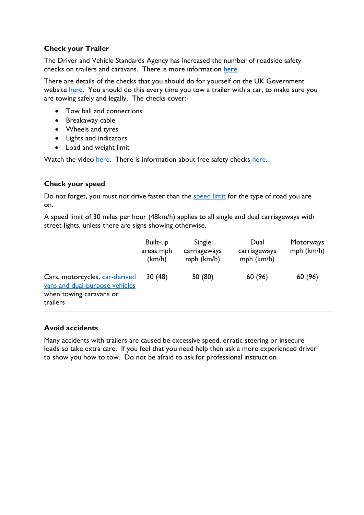## **Check your Trailer**

The Driver and Vehicle Standards Agency has increased the number of roadside safety checks on trailers and caravans. There is more information [here.](https://roadsafetygb.org.uk/news/dvsa-to-step-up-trailer-and-caravan-roadside-safety-checks/)

There are details of the checks that you should do for yourself on the UK Government website [here.](https://www.gov.uk/guidance/tow-a-trailer-with-a-car-safety-checks) You should do this every time you tow a trailer with a car, to make sure you are towing safely and legally. The checks cover:-

- Tow ball and connections
- Breakaway cable
- Wheels and tyres
- Lights and indicators
- Load and weight limit

Watch the video [here.](https://www.youtube.com/watch?v=JBv-Dj-i2Qk) There is information about free safety checks [here.](https://www.ntta.co.uk/freesafetycheck/)

## **Check your speed**

Do not forget, you must not drive faster than the [speed](https://www.gov.uk/speed-limits) limit for the type of road you are on.

A speed limit of 30 miles per hour (48km/h) applies to all single and dual carriageways with street lights, unless there are signs showing otherwise.

|                                                                                                         | Built-up<br>areas mph<br>(km/h) | Single<br>carriageways<br>mph (km/h) | Dual<br>carriageways<br>mph (km/h) | Motorways<br>mph (km/h) |
|---------------------------------------------------------------------------------------------------------|---------------------------------|--------------------------------------|------------------------------------|-------------------------|
| Cars, motorcycles, car-derived<br>vans and dual-purpose vehicles<br>when towing caravans or<br>trailers | 30(48)                          | 50 (80)                              | 60 (96)                            | 60 (96)                 |

#### **Avoid accidents**

Many accidents with trailers are caused be excessive speed, erratic steering or insecure loads so take extra care. If you feel that you need help then ask a more experienced driver to show you how to tow. Do not be afraid to ask for professional instruction.